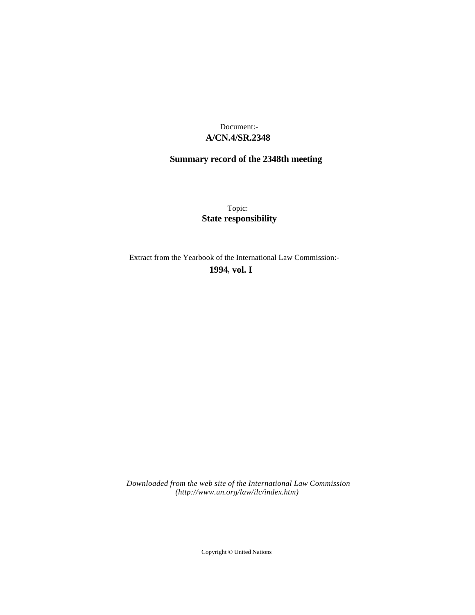# **A/CN.4/SR.2348** Document:-

# **Summary record of the 2348th meeting**

Topic: **State responsibility**

Extract from the Yearbook of the International Law Commission:-

**1994** , **vol. I**

*Downloaded from the web site of the International Law Commission (http://www.un.org/law/ilc/index.htm)*

Copyright © United Nations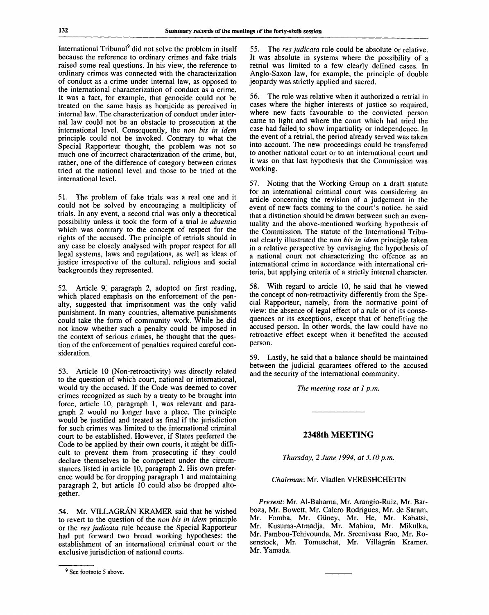International Tribunal<sup>9</sup> did not solve the problem in itself because the reference to ordinary crimes and fake trials raised some real questions. In his view, the reference to ordinary crimes was connected with the characterization of conduct as a crime under internal law, as opposed to the international characterization of conduct as a crime. It was a fact, for example, that genocide could not be treated on the same basis as homicide as perceived in internal law. The characterization of conduct under internal law could not be an obstacle to prosecution at the international level. Consequently, the *non bis in idem* principle could not be invoked. Contrary to what the Special Rapporteur thought, the problem was not so much one of incorrect characterization of the crime, but, rather, one of the difference of category between crimes tried at the national level and those to be tried at the international level.

51. The problem of fake trials was a real one and it could not be solved by encouraging a multiplicity of trials. In any event, a second trial was only a theoretical possibility unless it took the form of a trial *in absentia* which was contrary to the concept of respect for the rights of the accused. The principle of retrials should in any case be closely analysed with proper respect for all legal systems, laws and regulations, as well as ideas of justice irrespective of the cultural, religious and social backgrounds they represented.

52. Article 9, paragraph 2, adopted on first reading, which placed emphasis on the enforcement of the penalty, suggested that imprisonment was the only valid punishment. In many countries, alternative punishments could take the form of community work. While he did not know whether such a penalty could be imposed in the context of serious crimes, he thought that the question of the enforcement of penalties required careful consideration.

53. Article 10 (Non-retroactivity) was directly related to the question of which court, national or international, would try the accused. If the Code was deemed to cover crimes recognized as such by a treaty to be brought into force, article 10, paragraph 1, was relevant and paragraph 2 would no longer have a place. The principle would be justified and treated as final if the jurisdiction for such crimes was limited to the international criminal court to be established. However, if States preferred the Code to be applied by their own courts, it might be difficult to prevent them from prosecuting if they could declare themselves to be competent under the circumstances listed in article 10, paragraph 2. His own preference would be for dropping paragraph 1 and maintaining paragraph 2, but article 10 could also be dropped altogether.

54. Mr. VILLAGRAN KRAMER said that he wished to revert to the question of the *non bis in idem* principle or the *res judicata* rule because the Special Rapporteur had put forward two broad working hypotheses: the establishment of an international criminal court or the exclusive jurisdiction of national courts.

55. The *res judicata* rule could be absolute or relative. It was absolute in systems where the possibility of a retrial was limited to a few clearly defined cases. In Anglo-Saxon law, for example, the principle of double jeopardy was strictly applied and sacred.

56. The rule was relative when it authorized a retrial in cases where the higher interests of justice so required, where new facts favourable to the convicted person came to light and where the court which had tried the case had failed to show impartiality or independence. In the event of a retrial, the period already served was taken into account. The new proceedings could be transferred to another national court or to an international court and it was on that last hypothesis that the Commission was working.

57. Noting that the Working Group on a draft statute for an international criminal court was considering an article concerning the revision of a judgement in the event of new facts coming to the court's notice, he said that a distinction should be drawn between such an eventuality and the above-mentioned working hypothesis of the Commission. The statute of the International Tribunal clearly illustrated the *non bis in idem* principle taken in a relative perspective by envisaging the hypothesis of a national court not characterizing the offence as an international crime in accordance with international criteria, but applying criteria of a strictly internal character.

58. With regard to article 10, he said that he viewed the concept of non-retroactivity differently from the Special Rapporteur, namely, from the normative point of view: the absence of legal effect of a rule or of its consequences or its exceptions, except that of benefiting the accused person. In other words, the law could have no retroactive effect except when it benefited the accused person.

59. Lastly, he said that a balance should be maintained between the judicial guarantees offered to the accused and the security of the international community.

*The meeting rose at 1 p.m.*

#### **2348th MEETING**

*Thursday, 2 June 1994, at 3.10 p.m.*

### *Chairman:* Mr. Vladlen VERESHCHETIN

*Present:* Mr. Al-Baharna, Mr. Arangio-Ruiz, Mr. Barboza, Mr. Bowett, Mr. Calero Rodrigues, Mr. de Saram, Mr. Fomba, Mr. Giiney, Mr. He, Mr. Kabatsi, Mr. Kusuma-Atmadja, Mr. Mahiou, Mr. Mikulka, Mr. Pambou-Tchivounda, Mr. Sreenivasa Rao, Mr. Rosenstock, Mr. Tomuschat, Mr. Villagrán Kramer, Mr. Yamada.

<sup>&</sup>lt;sup>9</sup> See footnote 5 above.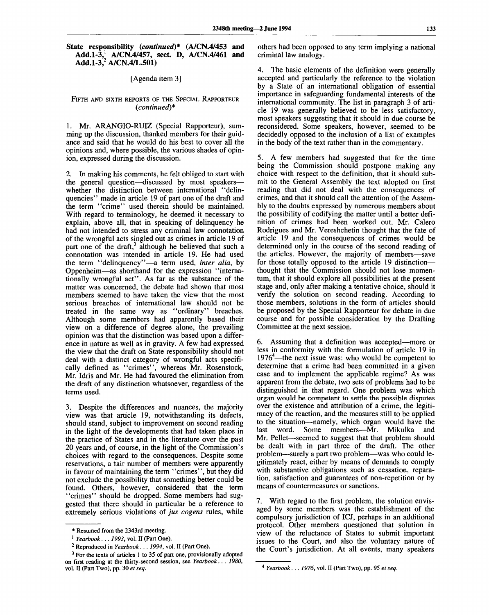**State responsibility** *(continued)\** **(A/CN.4/453 and Add.1-3,<sup>1</sup> A/CN.4/457, sect. D, A/CN.4/461 and Add.1-3,<sup>2</sup> A/CN.4/L.501)**

[Agenda item 3]

#### FIFTH AND SIXTH REPORTS OF THE SPECIAL RAPPORTEUR *(continued)\**

1. Mr. ARANGIO-RUIZ (Special Rapporteur), summing up the discussion, thanked members for their guidance and said that he would do his best to cover all the opinions and, where possible, the various shades of opinion, expressed during the discussion.

2. In making his comments, he felt obliged to start with the general question—discussed by most speakers whether the distinction between international "delinquencies" made in article 19 of part one of the draft and the term "crime" used therein should be maintained. With regard to terminology, he deemed it necessary to explain, above all, that in speaking of delinquency he had not intended to stress any criminal law connotation of the wrongful acts singled out as crimes in article 19 of part one of the draft,<sup>3</sup> although he believed that such a connotation was intended in article 19. He had used the term "delinquency"—a term used, *inter alia,* by Oppenheim—as shorthand for the expression "internationally wrongful act". As far as the substance of the matter was concerned, the debate had shown that most members seemed to have taken the view that the most serious breaches of international law should not be treated in the same way as "ordinary" breaches. Although some members had apparently based their view on a difference of degree alone, the prevailing opinion was that the distinction was based upon a difference in nature as well as in gravity. A few had expressed the view that the draft on State responsibility should not deal with a distinct category of wrongful acts specifically defined as "crimes", whereas Mr. Rosenstock, Mr. Idris and Mr. He had favoured the elimination from the draft of any distinction whatsoever, regardless of the terms used.

3. Despite the differences and nuances, the majority view was that article 19, notwithstanding its defects, should stand, subject to improvement on second reading in the light of the developments that had taken place in the practice of States and in the literature over the past 20 years and, of course, in the light of the Commission's choices with regard to the consequences. Despite some reservations, a fair number of members were apparently in favour of maintaining the term "crimes", but they did not exclude the possibility that something better could be found. Others, however, considered that the term "crimes" should be dropped. Some members had suggested that there should in particular be a reference to extremely serious violations of *jus cogens* rules, while

others had been opposed to any term implying a national criminal law analogy.

4. The basic elements of the definition were generally accepted and particularly the reference to the violation by a State of an international obligation of essential importance in safeguarding fundamental interests of the international community. The list in paragraph 3 of article 19 was generally believed to be less satisfactory, most speakers suggesting that it should in due course be reconsidered. Some speakers, however, seemed to be decidedly opposed to the inclusion of a list of examples in the body of the text rather than in the commentary.

5. A few members had suggested that for the time being the Commission should postpone making any choice with respect to the definition, that it should submit to the General Assembly the text adopted on first reading that did not deal with the consequences of crimes, and that it should call the attention of the Assembly to the doubts expressed by numerous members about the possibility of codifying the matter until a better definition of crimes had been worked out. Mr. Calero Rodrigues and Mr. Vereshchetin thought that the fate of article 19 and the consequences of crimes would be determined only in the course of the second reading of the articles. However, the majority of members—save for those totally opposed to the article 19 distinction thought that the Commission should not lose momentum, that it should explore all possibilities at the present stage and, only after making a tentative choice, should it verify the solution on second reading. According to those members, solutions in the form of articles should be proposed by the Special Rapporteur for debate in due course and for possible consideration by the Drafting Committee at the next session.

6. Assuming that a definition was accepted—more or less in conformity with the formulation of article 19 in  $1976^{\circ}$ —the next issue was: who would be competent to determine that a crime had been committed in a given case and to implement the applicable regime? As was apparent from the debate, two sets of problems had to be distinguished in that regard. One problem was which organ would be competent to settle the possible disputes over the existence and attribution of a crime, the legitimacy of the reaction, and the measures still to be applied to the situation—namely, which organ would have the last word. Some members—Mr. Mikulka and Mr. Pellet—seemed to suggest that that problem should be dealt with in part three of the draft. The other problem—surely a part two problem—was who could legitimately react, either by means of demands to comply with substantive obligations such as cessation, reparation, satisfaction and guarantees of non-repetition or by means of countermeasures or sanctions.

7. With regard to the first problem, the solution envisaged by some members was the establishment of the compulsory jurisdiction of ICJ, perhaps in an additional protocol. Other members questioned that solution in view of the reluctance of States to submit important issues to the Court, and also the voluntary nature of the Court's jurisdiction. At all events, many speakers

<sup>\*</sup> Resumed from the 2343rd meeting.

<sup>1</sup>  *Yearbook. .. 1993,* vol. II (Part One).

<sup>2</sup> Reproduced in *Yearbook... 1994,* vol. II (Part One).

<sup>&</sup>lt;sup>3</sup> For the texts of articles 1 to 35 of part one, provisionally adopted on first reading at the thirty-second session, see *Yearbook.. . 1980,* vol. II (Part Two), pp. 30 *et seq.*

<sup>4</sup>  *Yearbook . . . 1976,* vol. II (Part Two), pp. 95 *et seq.*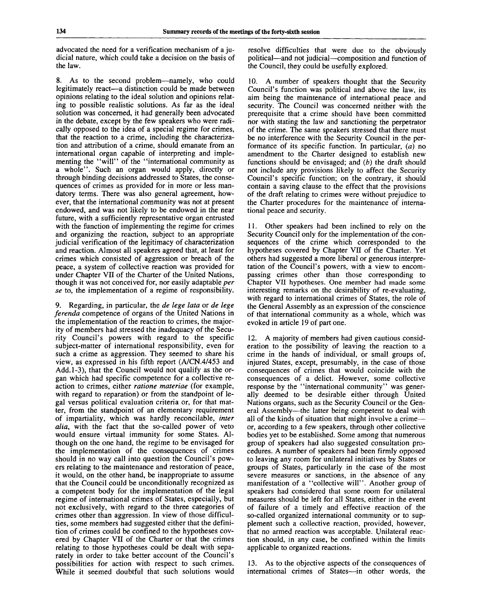advocated the need for a verification mechanism of a judicial nature, which could take a decision on the basis of the law.

8. As to the second problem—namely, who could legitimately react—a distinction could be made between opinions relating to the ideal solution and opinions relating to possible realistic solutions. As far as the ideal solution was concerned, it had generally been advocated in the debate, except by the few speakers who were radically opposed to the idea of a special regime for crimes, that the reaction to a crime, including the characterization and attribution of a crime, should emanate from an international organ capable of interpreting and implementing the "will" of the "international community as a whole". Such an organ would apply, directly or through binding decisions addressed to States, the consequences of crimes as provided for in more or less mandatory terms. There was also general agreement, however, that the international community was not at present endowed, and was not likely to be endowed in the near future, with a sufficiently representative organ entrusted with the function of implementing the regime for crimes and organizing the reaction, subject to an appropriate judicial verification of the legitimacy of characterization and reaction. Almost all speakers agreed that, at least for crimes which consisted of aggression or breach of the peace, a system of collective reaction was provided for under Chapter VII of the Charter of the United Nations, though it was not conceived for, nor easily adaptable *per se* to, the implementation of a regime of responsibility.

9. Regarding, in particular, the *de lege lata* or *de lege ferenda* competence of organs of the United Nations in the implementation of the reaction to crimes, the majority of members had stressed the inadequacy of the Security Council's powers with regard to the specific subject-matter of international responsibility, even for such a crime as aggression. They seemed to share his view, as expressed in his fifth report (A/CN.4/453 and Add. 1-3), that the Council would not qualify as the organ which had specific competence for a collective reaction to crimes, either *ratione materiae* (for example, with regard to reparation) or from the standpoint of legal versus political evaluation criteria or, for that matter, from the standpoint of an elementary requirement of impartiality, which was hardly reconcilable, *inter alia,* with the fact that the so-called power of veto would ensure virtual immunity for some States. Although on the one hand, the regime to be envisaged for the implementation of the consequences of crimes should in no way call into question the Council's powers relating to the maintenance and restoration of peace, it would, on the other hand, be inappropriate to assume that the Council could be unconditionally recognized as a competent body for the implementation of the legal regime of international crimes of States, especially, but not exclusively, with regard to the three categories of crimes other than aggression. In view of those difficulties, some members had suggested either that the definition of crimes could be confined to the hypotheses covered by Chapter VII of the Charter or that the crimes relating to those hypotheses could be dealt with separately in order to take better account of the Council's possibilities for action with respect to such crimes. While it seemed doubtful that such solutions would

resolve difficulties that were due to the obviously political—and not judicial—composition and function of the Council, they could be usefully explored.

10. A number of speakers thought that the Security Council's function was political and above the law, its aim being the maintenance of international peace and security. The Council was concerned neither with the prerequisite that a crime should have been committed nor with stating the law and sanctioning the perpetrator of the crime. The same speakers stressed that there must be no interference with the Security Council in the performance of its specific function. In particular, *(a)* no amendment to the Charter designed to establish new functions should be envisaged; and *(b)* the draft should not include any provisions likely to affect the Security Council's specific function; on the contrary, it should contain a saving clause to the effect that the provisions of the draft relating to crimes were without prejudice to the Charter procedures for the maintenance of international peace and security.

11. Other speakers had been inclined to rely on the Security Council only for the implementation of the consequences of the crime which corresponded to the hypotheses covered by Chapter VII of the Charter. Yet others had suggested a more liberal or generous interpretation of the Council's powers, with a view to encompassing crimes other than those corresponding to Chapter VII hypotheses. One member had made some interesting remarks on the desirability of re-evaluating, with regard to international crimes of States, the role of the General Assembly as an expression of the conscience of that international community as a whole, which was evoked in article 19 of part one.

12. A majority of members had given cautious consideration to the possibility of leaving the reaction to a crime in the hands of individual, or small groups of, injured States, except, presumably, in the case of those consequences of crimes that would coincide with the consequences of a delict. However, some collective response by the "international community" was generally deemed to be desirable either through United Nations organs, such as the Security Council or the General Assembly—the latter being competent to deal with all of the kinds of situation that might involve a crime or, according to a few speakers, through other collective bodies yet to be established. Some among that numerous group of speakers had also suggested consultation procedures. A number of speakers had been firmly opposed to leaving any room for unilateral initiatives by States or groups of States, particularly in the case of the most severe measures or sanctions, in the absence of any manifestation of a "collective will". Another group of speakers had considered that some room for unilateral measures should be left for all States, either in the event of failure of a timely and effective reaction of the so-called organized international community or to supplement such a collective reaction, provided, however, that no armed reaction was acceptable. Unilateral reaction should, in any case, be confined within the limits applicable to organized reactions.

13. As to the objective aspects of the consequences of international crimes of States—in other words, the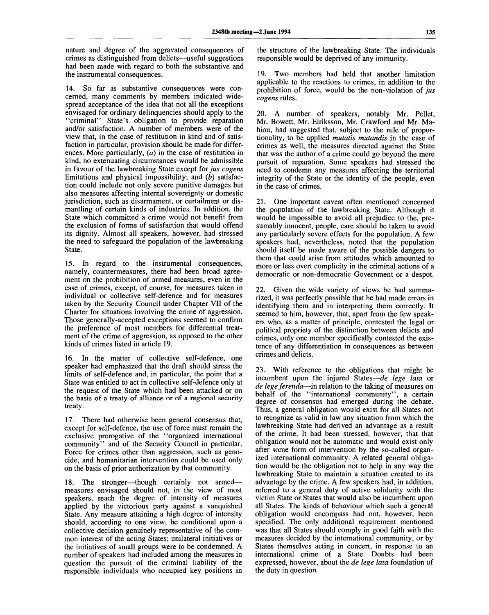nature and degree of the aggravated consequences of crimes as distinguished from delicts—useful suggestions had been made with regard to both the substantive and the instrumental consequences.

14. So far as substantive consequences were concerned, many comments by members indicated widespread acceptance of the idea that not all the exceptions envisaged for ordinary delinquencies should apply to the "criminal" State's obligation to provide reparation and/or satisfaction. A number of members were of the view that, in the case of restitution in kind and of satisfaction in particular, provision should be made for differences. More particularly, *(a)* in the case of restitution in kind, no extenuating circumstances would be admissible in favour of the lawbreaking State except *for jus cogens* limitations and physical impossibility; and *(b)* satisfaction could include not only severe punitive damages but also measures affecting internal sovereignty or domestic jurisdiction, such as disarmament, or curtailment or dismantling of certain kinds of industries. In addition, the State which committed a crime would not benefit from the exclusion of forms of satisfaction that would offend its dignity. Almost all speakers, however, had stressed the need to safeguard the population of the lawbreaking State.

15. In regard to the instrumental consequences, namely, countermeasures, there had been broad agreement on the prohibition of armed measures, even in the case of crimes, except, of course, for measures taken in individual or collective self-defence and for measures taken by the Security Council under Chapter VII of the Charter for situations involving the crime of aggression. Those generally-accepted exceptions seemed to confirm the preference of most members for differential treatment of the crime of aggression, as opposed to the other kinds of crimes listed in article 19.

16. In the matter of collective self-defence, one speaker had emphasized that the draft should stress the limits of self-defence and, in particular, the point that a State was entitled to act in collective self-defence only at the request of the State which had been attacked or on the basis of a treaty of alliance or of a regional security treaty.

17. There had otherwise been general consensus that, except for self-defence, the use of force must remain the exclusive prerogative of the "organized international community" and of the Security Council in particular. Force for crimes other than aggression, such as genocide, and humanitarian intervention could be used only on the basis of prior authorization by that community.

18. The stronger—though certainly not armed measures envisaged should not, in the view of most speakers, reach the degree of intensity of measures applied by the victorious party against a vanquished State. Any measure attaining a high degree of intensity should, according to one view, be conditional upon a collective decision genuinely representative of the common interest of the acting States; unilateral initiatives or the initiatives of small groups were to be condemned. A number of speakers had included among the measures in question the pursuit of the criminal liability of the responsible individuals who occupied key positions in

the structure of the lawbreaking State. The individuals responsible would be deprived of any immunity.

19. Two members had held that another limitation applicable to the reactions to crimes, in addition to the prohibition of force, would be the non-violation of *jus cogens* rules.

20. A number of speakers, notably Mr. Pellet, Mr. Bowett, Mr. Eiriksson, Mr. Crawford and Mr. Mahiou, had suggested that, subject to the rule of proportionality, to be applied *mutatis mutandis* in the case of crimes as well, the measures directed against the State that was the author of a crime could go beyond the mere pursuit of reparation. Some speakers had stressed the need to condemn any measures affecting the territorial integrity of the State or the identity of the people, even in the case of crimes.

21. One important caveat often mentioned concerned the population of the lawbreaking State. Although it would be impossible to avoid all prejudice to the, presumably innocent, people, care should be taken to avoid any particularly severe effects for the population. A few speakers had, nevertheless, noted that the population should itself be made aware of the possible dangers to them that could arise from attitudes which amounted to more or less overt complicity in the criminal actions of a democratic or non-democratic Government or a despot.

22. Given the wide variety of views he had summarized, it was perfectly possible that he had made errors in identifying them and in interpreting them correctly. It seemed to him, however, that, apart from the few speakers who, as a matter of principle, contested the legal or political propriety of the distinction between delicts and crimes, only one member specifically contested the existence of any differentiation in consequences as between crimes and delicts.

23. With reference to the obligations that might be incumbent upon the injured States—*de lege lata* or *de lege ferenda*—in relation to the taking of measures on behalf of the "international community", a certain degree of consensus had emerged during the debate. Thus, a general obligation would exist for all States not to recognize as valid in law any situation from which the lawbreaking State had derived an advantage as a result of the crime. It had been stressed, however, that that obligation would not be automatic and would exist only after some form of intervention by the so-called organized international community. A related general obligation would be the obligation not to help in any way the lawbreaking State to maintain a situation created to its advantage by the crime. A few speakers had, in addition, referred to a general duty of active solidarity with the victim State or States that would also be incumbent upon all States. The kinds of behaviour which such a general obligation would encompass had not, however, been specified. The only additional requirement mentioned was that all States should comply in good faith with the measures decided by the international community, or by States themselves acting in concert, in response to an international crime of a State. Doubts had been expressed, however, about the *de lege lata* foundation of the duty in question.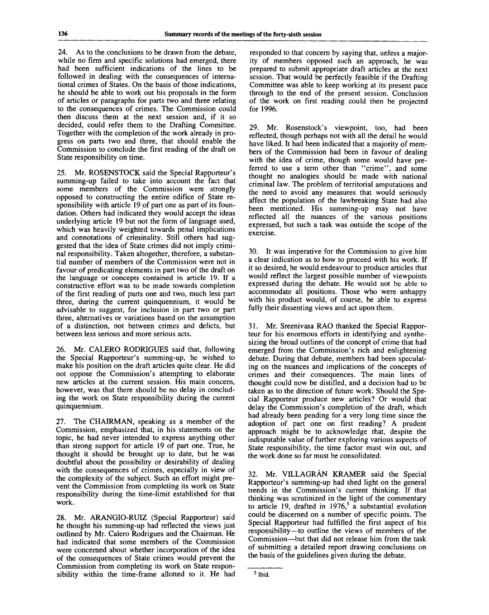24. As to the conclusions to be drawn from the debate, while no firm and specific solutions had emerged, there had been sufficient indications of the lines to be followed in dealing with the consequences of international crimes of States. On the basis of those indications, he should be able to work out his proposals in the form of articles or paragraphs for parts two and three relating to the consequences of crimes. The Commission could then discuss them at the next session and, if it so decided, could refer them to the Drafting Committee. Together with the completion of the work already in progress on parts two and three, that should enable the Commission to conclude the first reading of the draft on State responsibility on time.

25. Mr. ROSENSTOCK said the Special Rapporteur's summing-up failed to take into account the fact that some members of the Commission were strongly opposed to constructing the entire edifice of State responsibility with article 19 of part one as part of its foundation. Others had indicated they would accept the ideas underlying article 19 but not the form of language used, which was heavily weighted towards penal implications and connotations of criminality. Still others had suggested that the idea of State crimes did not imply criminal responsibility. Taken altogether, therefore, a substantial number of members of the Commission were not in favour of predicating elements in part two of the draft on the language or concepts contained in article 19. If a constructive effort was to be made towards completion of the first reading of parts one and two, much less part three, during the current quinquennium, it would be advisable to suggest, for inclusion in part two or part three, alternatives or variations based on the assumption of a distinction, not between crimes and delicts, but between less serious and more serious acts.

26. Mr. CALERO RODRIGUES said that, following the Special Rapporteur's summing-up, he wished to make his position on the draft articles quite clear. He did not oppose the Commission's attempting to elaborate new articles at the current session. His main concern, however, was that there should be no delay in concluding the work on State responsibility during the current quinquennium.

27. The CHAIRMAN, speaking as a member of the Commission, emphasized that, in his statements on the topic, he had never intended to express anything other than strong support for article 19 of part one. True, he thought it should be brought up to date, but he was doubtful about the possibility or desirability of dealing with the consequences of crimes, especially in view of the complexity of the subject. Such an effort might prevent the Commission from completing its work on State responsibility during the time-limit established for that work.

28. Mr. ARANGIO-RUIZ (Special Rapporteur) said he thought his summing-up had reflected the views just outlined by Mr. Calero Rodrigues and the Chairman. He had indicated that some members of the Commission were concerned about whether incorporation of the idea of the consequences of State crimes would prevent the Commission from completing its work on State responsibility within the time-frame allotted to it. He had responded to that concern by saying that, unless a majority of members opposed such an approach, he was prepared to submit appropriate draft articles at the next session. That would be perfectly feasible if the Drafting Committee was able to keep working at its present pace through to the end of the present session. Conclusion of the work on first reading could then be projected for 1996.

29. Mr. Rosenstock's viewpoint, too, had been reflected, though perhaps not with all the detail he would have liked. It had been indicated that a majority of members of the Commission had been in favour of dealing with the idea of crime, though some would have preferred to use a term other than "crime", and some thought no analogies should be made with national criminal law. The problem of territorial amputations and the need to avoid any measures that would seriously affect the population of the lawbreaking State had also been mentioned. His summing-up may not have reflected all the nuances of the various positions expressed, but such a task was outside the scope of the exercise.

30. It was imperative for the Commission to give him a clear indication as to how to proceed with his work. If it so desired, he would endeavour to produce articles that would reflect the largest possible number of viewpoints expressed during the debate. He would not be able to accommodate all positions. Those who were unhappy with his product would, of course, be able to express fully their dissenting views and act upon them.

31. Mr. Sreenivasa RAO thanked the Special Rapporteur for his enormous efforts in identifying and synthesizing the broad outlines of the concept of crime that had emerged from the Commission's rich and enlightening debate. During that debate, members had been speculating on the nuances and implications of the concepts of crimes and their consequences. The main lines of thought could now be distilled, and a decision had to be taken as to the direction of future work. Should the Special Rapporteur produce new articles? Or would that delay the Commission's completion of the draft, which had already been pending for a very long time since the adoption of part one on first reading? A prudent approach might be to acknowledge that, despite the indisputable value of further exploring various aspects of State responsibility, the time factor must win out, and the work done so far must be consolidated.

32. Mr. VILLAGRAN KRAMER said the Special Rapporteur's summing-up had shed light on the general trends in the Commission's current thinking. If that thinking was scrutinized in the light of the commentary to article 19, drafted in 1976,<sup>5</sup> a substantial evolution could be discerned on a number of specific points. The Special Rapporteur had fulfilled the first aspect of his responsibility—to outline the views of members of the Commission—but that did not release him from the task of submitting a detailed report drawing conclusions on the basis of the guidelines given during the debate.

<sup>&</sup>lt;sup>5</sup> Ibid.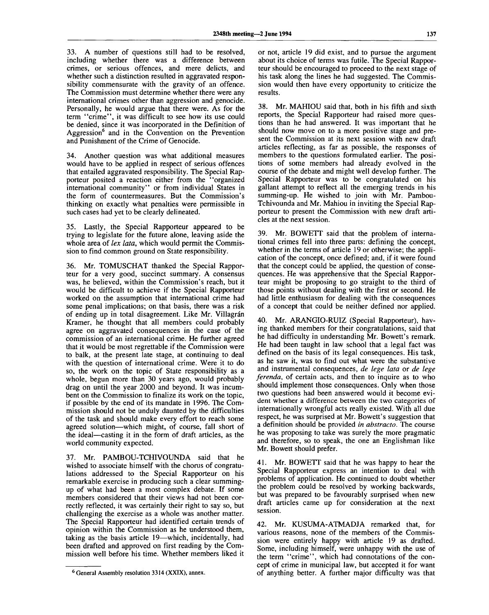33. A number of questions still had to be resolved, including whether there was a difference between crimes, or serious offences, and mere delicts, and whether such a distinction resulted in aggravated responsibility commensurate with the gravity of an offence. The Commission must determine whether there were any international crimes other than aggression and genocide. Personally, he would argue that there were. As for the term "crime", it was difficult to see how its use could be denied, since it was incorporated in the Definition of Aggression<sup>6</sup> and in the Convention on the Prevention and Punishment of the Crime of Genocide.

34. Another question was what additional measures would have to be applied in respect of serious offences that entailed aggravated responsibility. The Special Rapporteur posited a reaction either from the "organized international community" or from individual States in the form of countermeasures. But the Commission's thinking on exactly what penalties were permissible in such cases had yet to be clearly delineated.

35. Lastly, the Special Rapporteur appeared to be trying to legislate for the future alone, leaving aside the whole area of *lex lata,* which would permit the Commission to find common ground on State responsibility.

36. Mr. TOMUSCHAT thanked the Special Rapporteur for a very good, succinct summary. A consensus was, he believed, within the Commission's reach, but it would be difficult to achieve if the Special Rapporteur worked on the assumption that international crime had some penal implications; on that basis, there was a risk of ending up in total disagreement. Like Mr. Villagrán Kramer, he thought that all members could probably agree on aggravated consequences in the case of the commission of an international crime. He further agreed that it would be most regrettable if the Commission were to balk, at the present late stage, at continuing to deal with the question of international crime. Were it to do so, the work on the topic of State responsibility as a whole, begun more than 30 years ago, would probably drag on until the year 2000 and beyond. It was incumbent on the Commission to finalize its work on the topic, if possible by the end of its mandate in 1996. The Commission should not be unduly daunted by the difficulties of the task and should make every effort to reach some agreed solution—which might, of course, fall short of the ideal—casting it in the form of draft articles, as the world community expected.

37. Mr. PAMBOU-TCHIVOUNDA said that he wished to associate himself with the chorus of congratulations addressed to the Special Rapporteur on his remarkable exercise in producing such a clear summingup of what had been a most complex debate. If some members considered that their views had not been correctly reflected, it was certainly their right to say so, but challenging the exercise as a whole was another matter. The Special Rapporteur had identified certain trends of opinion within the Commission as he understood them, taking as the basis article 19—which, incidentally, had been drafted and approved on first reading by the Commission well before his time. Whether members liked it

or not, article 19 did exist, and to pursue the argument about its choice of terms was futile. The Special Rapporteur should be encouraged to proceed to the next stage of his task along the lines he had suggested. The Commission would then have every opportunity to criticize the results.

38. Mr. MAHIOU said that, both in his fifth and sixth reports, the Special Rapporteur had raised more questions than he had answered. It was important that he should now move on to a more positive stage and present the Commission at its next session with new draft articles reflecting, as far as possible, the responses of members to the questions formulated earlier. The positions of some members had already evolved in the course of the debate and might well develop further. The Special Rapporteur was to be congratulated on his gallant attempt to reflect all the emerging trends in his summing-up. He wished to join with Mr. Pambou-Tchivounda and Mr. Mahiou in inviting the Special Rapporteur to present the Commission with new draft articles at the next session.

39. Mr. BOWETT said that the problem of international crimes fell into three parts: defining the concept, whether in the terms of article 19 or otherwise; the application of the concept, once defined; and, if it were found that the concept could be applied, the question of consequences. He was apprehensive that the Special Rapporteur might be proposing to go straight to the third of those points without dealing with the first or second. He had little enthusiasm for dealing with the consequences of a concept that could be neither defined nor applied.

40. Mr. ARANGIO-RUIZ (Special Rapporteur), having thanked members for their congratulations, said that he had difficulty in understanding Mr. Bowett's remark. He had been taught in law school that a legal fact was defined on the basis of its legal consequences. His task, as he saw it, was to find out what were the substantive and instrumental consequences, *de lege lata* or *de lege ferenda,* of certain acts, and then to inquire as to who should implement those consequences. Only when those two questions had been answered would it become evident whether a difference between the two categories of internationally wrongful acts really existed. With all due respect, he was surprised at Mr. Bowett's suggestion that a definition should be provided *in abstracto.* The course he was proposing to take was surely the more pragmatic and therefore, so to speak, the one an Englishman like Mr. Bowett should prefer.

41. Mr. BOWETT said that he was happy to hear the Special Rapporteur express an intention to deal with problems of application. He continued to doubt whether the problem could be resolved by working backwards, but was prepared to be favourably surprised when new draft articles came up for consideration at the next session.

42. Mr. KUSUMA-ATMADJA remarked that, for various reasons, none of the members of the Commission were entirely happy with article 19 as drafted. Some, including himself, were unhappy with the use of the term "crime", which had connotations of the concept of crime in municipal law, but accepted it for want of anything better. A further major difficulty was that

 $6$  General Assembly resolution 3314 (XXIX), annex.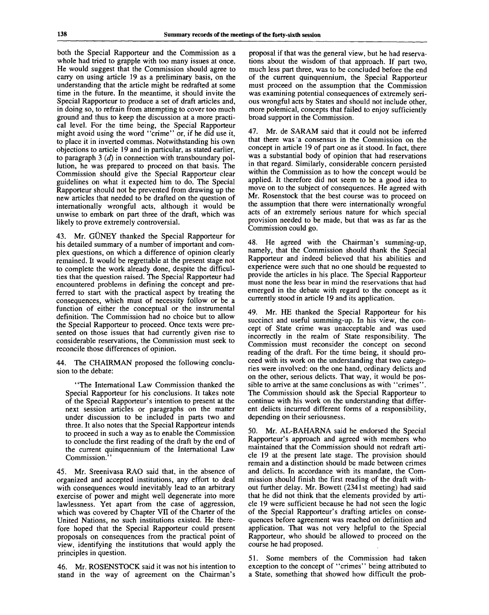both the Special Rapporteur and the Commission as a whole had tried to grapple with too many issues at once. He would suggest that the Commission should agree to carry on using article 19 as a preliminary basis, on the understanding that the article might be redrafted at some time in the future. In the meantime, it should invite the Special Rapporteur to produce a set of draft articles and, in doing so, to refrain from attempting to cover too much ground and thus to keep the discussion at a more practical level. For the time being, the Special Rapporteur might avoid using the word "crime" or, if he did use it, to place it in inverted commas. Notwithstanding his own objections to article 19 and in particular, as stated earlier, to paragraph 3 *(d)* in connection with transboundary pollution, he was prepared to proceed on that basis. The Commission should give the Special Rapporteur clear guidelines on what it expected him to do. The Special Rapporteur should not be prevented from drawing up the new articles that needed to be drafted on the question of internationally wrongful acts, although it would be unwise to embark on part three of the draft, which was likely to prove extremely controversial.

43. Mr. GUNEY thanked the Special Rapporteur for his detailed summary of a number of important and complex questions, on which a difference of opinion clearly remained. It would be regrettable at the present stage not to complete the work already done, despite the difficulties that the question raised. The Special Rapporteur had encountered problems in defining the concept and preferred to start with the practical aspect by treating the consequences, which must of necessity follow or be a function of either the conceptual or the instrumental definition. The Commission had no choice but to allow the Special Rapporteur to proceed. Once texts were presented on those issues that had currently given rise to considerable reservations, the Commission must seek to reconcile those differences of opinion.

44. The CHAIRMAN proposed the following conclusion to the debate:

"The International Law Commission thanked the Special Rapporteur for his conclusions. It takes note of the Special Rapporteur's intention to present at the next session articles or paragraphs on the matter under discussion to be included in parts two and three. It also notes that the Special Rapporteur intends to proceed in such a way as to enable the Commission to conclude the first reading of the draft by the end of the current quinquennium of the International Law Commission."

45. Mr. Sreenivasa RAO said that, in the absence of organized and accepted institutions, any effort to deal with consequences would inevitably lead to an arbitrary exercise of power and might well degenerate into more lawlessness. Yet apart from the case of aggression, which was covered by Chapter VII of the Charter of the United Nations, no such institutions existed. He therefore hoped that the Special Rapporteur could present proposals on consequences from the practical point of view, identifying the institutions that would apply the principles in question.

46. Mr. ROSENSTOCK said it was not his intention to stand in the way of agreement on the Chairman's

proposal if that was the general view, but he had reservations about the wisdom of that approach. If part two, much less part three, was to be concluded before the end of the current quinquennium, the Special Rapporteur must proceed on the assumption that the Commission was examining potential consequences of extremely serious wrongful acts by States and should not include other, more polemical, concepts that failed to enjoy sufficiently broad support in the Commission.

Mr. de SARAM said that it could not be inferred that there was a consensus in the Commission on the concept in article 19 of part one as it stood. In fact, there was a substantial body of opinion that had reservations in that regard. Similarly, considerable concern persisted within the Commission as to how the concept would be applied. It therefore did not seem to be a good idea to move on to the subject of consequences. He agreed with Mr. Rosenstock that the best course was to proceed on the assumption that there were internationally wrongful acts of an extremely serious nature for which special provision needed to be made, but that was as far as the Commission could go.

48. He agreed with the Chairman's summing-up, namely, that the Commission should thank the Special Rapporteur and indeed believed that his abilities and experience were such that no one should be requested to provide the articles in his place. The Special Rapporteur must none the less bear in mind the reservations that had emerged in the debate with regard to the concept as it currently stood in article 19 and its application.

49. Mr. HE thanked the Special Rapporteur for his succinct and useful summing-up. In his view, the concept of State crime was unacceptable and was used incorrectly in the realm of State responsibility. The Commission must reconsider the concept on second reading of the draft. For the time being, it should proceed with its work on the understanding that two categories were involved: on the one hand, ordinary delicts and on the other, serious delicts. That way, it would be possible to arrive at the same conclusions as with "crimes". The Commission should ask the Special Rapporteur to continue with his work on the understanding that different delicts incurred different forms of a responsibility, depending on their seriousness.

50. Mr. AL-BAHARNA said he endorsed the Special Rapporteur's approach and agreed with members who maintained that the Commission should not redraft article 19 at the present late stage. The provision should remain and a distinction should be made between crimes and delicts. In accordance with its mandate, the Commission should finish the first reading of the draft without further delay. Mr. Bowett (2341st meeting) had said that he did not think that the elements provided by article 19 were sufficient because he had not seen the logic of the Special Rapporteur's drafting articles on consequences before agreement was reached on definition and application. That was not very helpful to the Special Rapporteur, who should be allowed to proceed on the course he had proposed.

51. Some members of the Commission had taken exception to the concept of "crimes" being attributed to a State, something that showed how difficult the prob